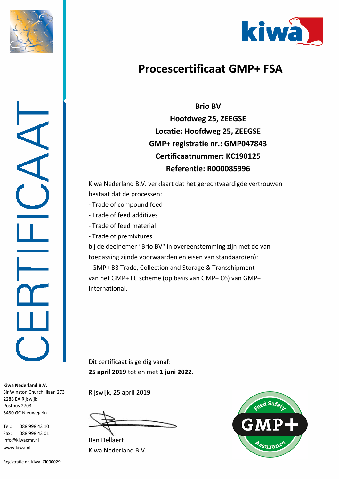



## **Procescertificaat GMP+ FSA**

**Brio BV Hoofdweg 25, ZEEGSE Locatie: Hoofdweg 25, ZEEGSE GMP+ registratie nr.: GMP047843 Certificaatnummer: KC190125 Referentie: R000085996**

Kiwa Nederland B.V. verklaart dat het gerechtvaardigde vertrouwen bestaat dat de processen:

- Trade of compound feed
- Trade of feed additives
- Trade of feed material
- Trade of premixtures

bij de deelnemer *"*Brio BV" in overeenstemming zijn met de van toepassing zijnde voorwaarden en eisen van standaard(en): - GMP+ B3 Trade, Collection and Storage & Transshipment van het GMP+ FC scheme (op basis van GMP+ C6) van GMP+ International.

Dit certificaat is geldig vanaf: **25 april 2019** tot en met **1 juni 2022**.

Rijswijk, 25 april 2019

Kiwa Nederland B.V. Ben Dellaert



**Kiwa Nederland B.V.** Sir Winston Churchilllaan 273 2288 EA Rijswijk Postbus 2703 3430 GC Nieuwegein

Tel.: 088 998 43 10 Fax: 088 998 43 01 info@kiwacmr.nl www.kiwa.nl